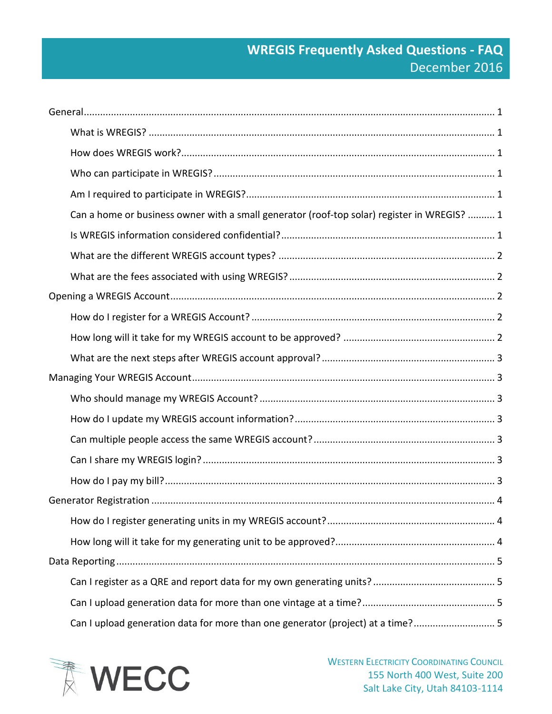# **WREGIS Frequently Asked Questions - FAQ** December 2016

| Can a home or business owner with a small generator (roof-top solar) register in WREGIS?  1 |  |
|---------------------------------------------------------------------------------------------|--|
|                                                                                             |  |
|                                                                                             |  |
|                                                                                             |  |
|                                                                                             |  |
|                                                                                             |  |
|                                                                                             |  |
|                                                                                             |  |
|                                                                                             |  |
|                                                                                             |  |
|                                                                                             |  |
|                                                                                             |  |
|                                                                                             |  |
|                                                                                             |  |
|                                                                                             |  |
|                                                                                             |  |
|                                                                                             |  |
|                                                                                             |  |
|                                                                                             |  |
|                                                                                             |  |
|                                                                                             |  |

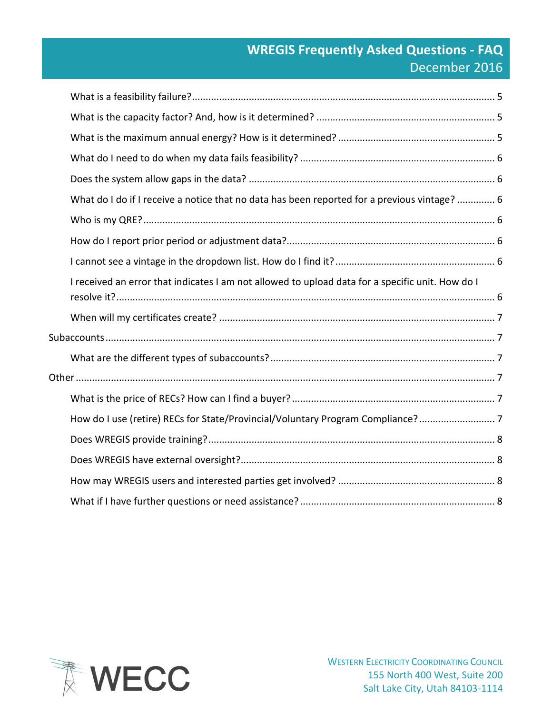# **WREGIS Frequently Asked Questions - FAQ** December 2016

| What do I do if I receive a notice that no data has been reported for a previous vintage?  6     |  |
|--------------------------------------------------------------------------------------------------|--|
|                                                                                                  |  |
|                                                                                                  |  |
|                                                                                                  |  |
| I received an error that indicates I am not allowed to upload data for a specific unit. How do I |  |
|                                                                                                  |  |
|                                                                                                  |  |
|                                                                                                  |  |
|                                                                                                  |  |
|                                                                                                  |  |
| How do I use (retire) RECs for State/Provincial/Voluntary Program Compliance?                    |  |
|                                                                                                  |  |
|                                                                                                  |  |
|                                                                                                  |  |
|                                                                                                  |  |

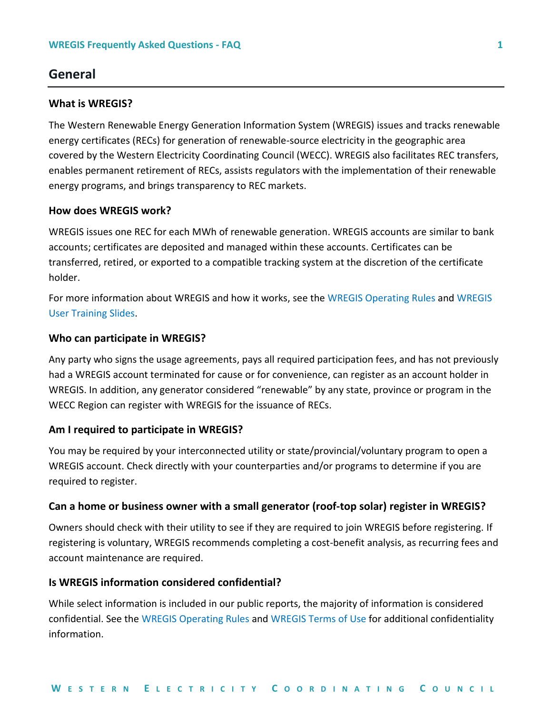# <span id="page-2-0"></span>**General**

### <span id="page-2-1"></span>**What is WREGIS?**

The Western Renewable Energy Generation Information System (WREGIS) issues and tracks renewable energy certificates (RECs) for generation of renewable-source electricity in the geographic area covered by the Western Electricity Coordinating Council (WECC). WREGIS also facilitates REC transfers, enables permanent retirement of RECs, assists regulators with the implementation of their renewable energy programs, and brings transparency to REC markets.

# <span id="page-2-2"></span>**How does WREGIS work?**

WREGIS issues one REC for each MWh of renewable generation. WREGIS accounts are similar to bank accounts; certificates are deposited and managed within these accounts. Certificates can be transferred, retired, or exported to a compatible tracking system at the discretion of the certificate holder.

For more information about WREGIS and how it works, see the [WREGIS Operating Rules](https://www.wecc.biz/Corporate/WREGIS%20Operating%20Rules%20072013%20Final.pdf) and [WREGIS](https://www.wecc.biz/Administrative/WREGIS%20User%20Training%20Slides.pdf)  [User Training Slides.](https://www.wecc.biz/Administrative/WREGIS%20User%20Training%20Slides.pdf)

#### <span id="page-2-3"></span>**Who can participate in WREGIS?**

Any party who signs the usage agreements, pays all required participation fees, and has not previously had a WREGIS account terminated for cause or for convenience, can register as an account holder in WREGIS. In addition, any generator considered "renewable" by any state, province or program in the WECC Region can register with WREGIS for the issuance of RECs.

#### <span id="page-2-4"></span>**Am I required to participate in WREGIS?**

You may be required by your interconnected utility or state/provincial/voluntary program to open a WREGIS account. Check directly with your counterparties and/or programs to determine if you are required to register.

#### <span id="page-2-5"></span>**Can a home or business owner with a small generator (roof-top solar) register in WREGIS?**

Owners should check with their utility to see if they are required to join WREGIS before registering. If registering is voluntary, WREGIS recommends completing a cost-benefit analysis, as recurring fees and account maintenance are required.

#### <span id="page-2-6"></span>**Is WREGIS information considered confidential?**

While select information is included in our public reports, the majority of information is considered confidential. See the [WREGIS Operating Rules](https://www.wecc.biz/Corporate/WREGIS%20Operating%20Rules%20072013%20Final.pdf) and [WREGIS Terms of Use](https://www.wecc.biz/Corporate/WREGIS%20Terms%20of%20Use.pdf) for additional confidentiality information.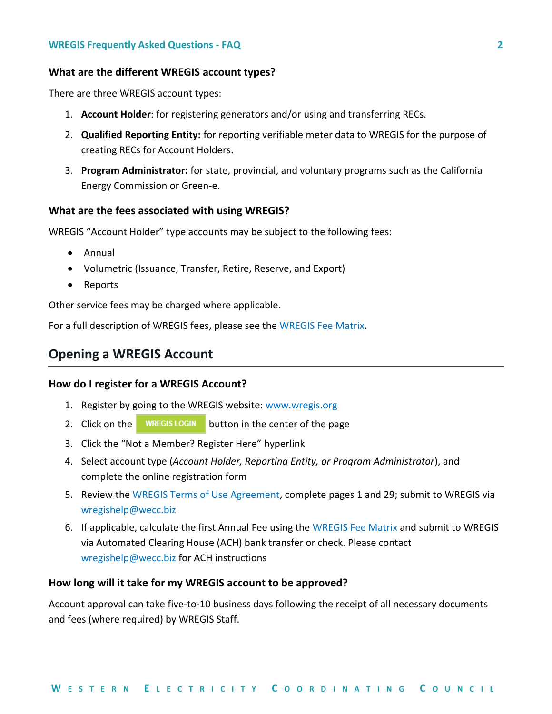# <span id="page-3-0"></span>**What are the different WREGIS account types?**

There are three WREGIS account types:

- 1. **Account Holder**: for registering generators and/or using and transferring RECs.
- 2. **Qualified Reporting Entity:** for reporting verifiable meter data to WREGIS for the purpose of creating RECs for Account Holders.
- 3. **Program Administrator:** for state, provincial, and voluntary programs such as the California Energy Commission or Green-e.

### <span id="page-3-1"></span>**What are the fees associated with using WREGIS?**

WREGIS "Account Holder" type accounts may be subject to the following fees:

- Annual
- Volumetric (Issuance, Transfer, Retire, Reserve, and Export)
- Reports

Other service fees may be charged where applicable.

For a full description of WREGIS fees, please see the [WREGIS Fee Matrix.](https://www.wecc.biz/Administrative/WREGIS%20Fee%20Matrix%20and%20Definitions.pdf)

# <span id="page-3-2"></span>**Opening a WREGIS Account**

#### <span id="page-3-3"></span>**How do I register for a WREGIS Account?**

- 1. Register by going to the WREGIS website: [www.wregis.org](http://www.wregis.org/)
- 2. Click on the  $\blacksquare$  WREGIS LOGIN button in the center of the page
- 3. Click the "Not a Member? Register Here" hyperlink
- 4. Select account type (*Account Holder, Reporting Entity, or Program Administrator*), and complete the online registration form
- 5. Review the [WREGIS Terms of Use Agreement,](https://www.wecc.biz/Corporate/WREGIS%20Terms%20of%20Use.pdf) complete pages 1 and 29; submit to WREGIS via [wregishelp@wecc.biz](mailto:wregishelp@wecc.biz)
- 6. If applicable, calculate the first Annual Fee using th[e WREGIS Fee Matrix](https://www.wecc.biz/Administrative/WREGIS%20Fee%20Matrix%20and%20Definitions.pdf) and submit to WREGIS via Automated Clearing House (ACH) bank transfer or check. Please contact [wregishelp@wecc.biz](mailto:wregishelp@wecc.biz) for ACH instructions

# <span id="page-3-4"></span>**How long will it take for my WREGIS account to be approved?**

Account approval can take five-to-10 business days following the receipt of all necessary documents and fees (where required) by WREGIS Staff.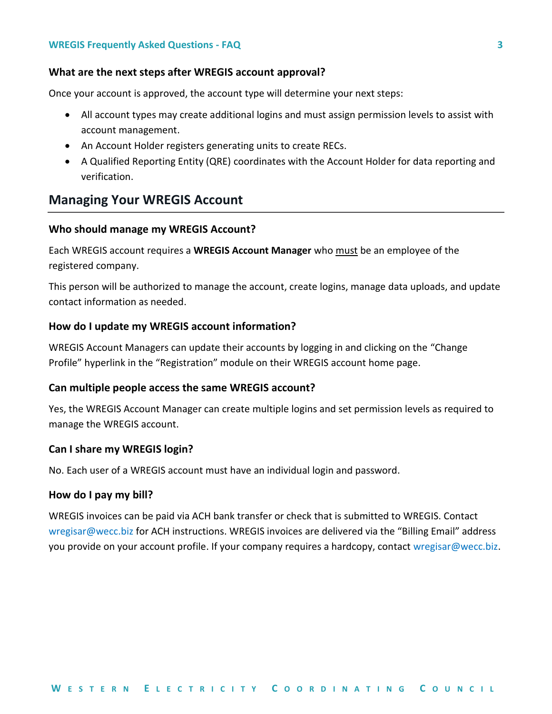#### **WREGIS Frequently Asked Questions - FAQ 3**

#### <span id="page-4-0"></span>**What are the next steps after WREGIS account approval?**

Once your account is approved, the account type will determine your next steps:

- All account types may create additional logins and must assign permission levels to assist with account management.
- An Account Holder registers generating units to create RECs.
- A Qualified Reporting Entity (QRE) coordinates with the Account Holder for data reporting and verification.

# <span id="page-4-1"></span>**Managing Your WREGIS Account**

### <span id="page-4-2"></span>**Who should manage my WREGIS Account?**

Each WREGIS account requires a **WREGIS Account Manager** who must be an employee of the registered company.

This person will be authorized to manage the account, create logins, manage data uploads, and update contact information as needed.

#### <span id="page-4-3"></span>**How do I update my WREGIS account information?**

WREGIS Account Managers can update their accounts by logging in and clicking on the "Change Profile" hyperlink in the "Registration" module on their WREGIS account home page.

#### <span id="page-4-4"></span>**Can multiple people access the same WREGIS account?**

Yes, the WREGIS Account Manager can create multiple logins and set permission levels as required to manage the WREGIS account.

#### <span id="page-4-5"></span>**Can I share my WREGIS login?**

No. Each user of a WREGIS account must have an individual login and password.

### <span id="page-4-6"></span>**How do I pay my bill?**

WREGIS invoices can be paid via ACH bank transfer or check that is submitted to WREGIS. Contact [wregisar@wecc.biz](mailto:wregisar@wecc.biz) for ACH instructions. WREGIS invoices are delivered via the "Billing Email" address you provide on your account profile. If your company requires a hardcopy, contact [wregisar@wecc.biz.](mailto:wregisar@wecc.biz)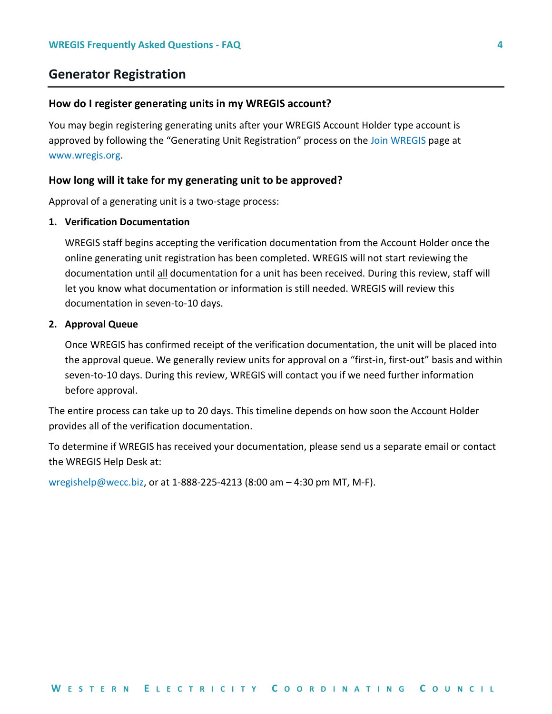# <span id="page-5-0"></span>**Generator Registration**

#### <span id="page-5-1"></span>**How do I register generating units in my WREGIS account?**

You may begin registering generating units after your WREGIS Account Holder type account is approved by following the "Generating Unit Registration" process on the [Join WREGIS](https://www.wecc.biz/WREGIS/Pages/Join-WREGIS.aspx) page at [www.wregis.org.](http://www.wregis.org/)

### <span id="page-5-2"></span>**How long will it take for my generating unit to be approved?**

Approval of a generating unit is a two-stage process:

### **1. Verification Documentation**

WREGIS staff begins accepting the verification documentation from the Account Holder once the online generating unit registration has been completed. WREGIS will not start reviewing the documentation until all documentation for a unit has been received. During this review, staff will let you know what documentation or information is still needed. WREGIS will review this documentation in seven-to-10 days.

#### **2. Approval Queue**

Once WREGIS has confirmed receipt of the verification documentation, the unit will be placed into the approval queue. We generally review units for approval on a "first-in, first-out" basis and within seven-to-10 days. During this review, WREGIS will contact you if we need further information before approval.

The entire process can take up to 20 days. This timeline depends on how soon the Account Holder provides all of the verification documentation.

To determine if WREGIS has received your documentation, please send us a separate email or contact the WREGIS Help Desk at:

[wregishelp@wecc.biz,](mailto:wregishelp@wecc.biz) or at 1-888-225-4213 (8:00 am – 4:30 pm MT, M-F).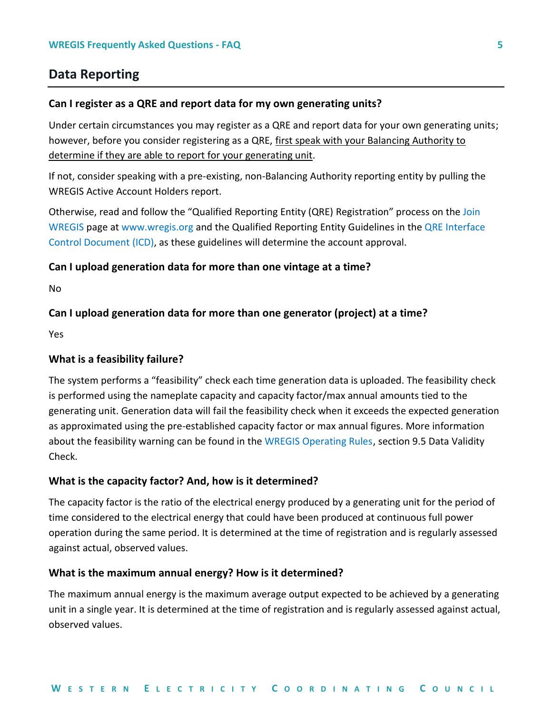# <span id="page-6-0"></span>**Data Reporting**

#### <span id="page-6-1"></span>**Can I register as a QRE and report data for my own generating units?**

Under certain circumstances you may register as a QRE and report data for your own generating units; however, before you consider registering as a QRE, first speak with your Balancing Authority to determine if they are able to report for your generating unit.

If not, consider speaking with a pre-existing, non-Balancing Authority reporting entity by pulling the WREGIS Active Account Holders report.

Otherwise, read and follow the "Qualified Reporting Entity (QRE) Registration" process on the [Join](https://www.wecc.biz/WREGIS/Pages/Join-WREGIS.aspx)  [WREGIS](https://www.wecc.biz/WREGIS/Pages/Join-WREGIS.aspx) page a[t www.wregis.org](http://www.wregis.org/) and the Qualified Reporting Entity Guidelines in the [QRE Interface](https://www.wecc.biz/Administrative/WREGIS%20QRE%20Interface%20Control%20Document.pdf)  [Control Document \(ICD\),](https://www.wecc.biz/Administrative/WREGIS%20QRE%20Interface%20Control%20Document.pdf) as these guidelines will determine the account approval.

### <span id="page-6-2"></span>**Can I upload generation data for more than one vintage at a time?**

No

# <span id="page-6-3"></span>**Can I upload generation data for more than one generator (project) at a time?**

Yes

#### <span id="page-6-4"></span>**What is a feasibility failure?**

The system performs a "feasibility" check each time generation data is uploaded. The feasibility check is performed using the nameplate capacity and capacity factor/max annual amounts tied to the generating unit. Generation data will fail the feasibility check when it exceeds the expected generation as approximated using the pre-established capacity factor or max annual figures. More information about the feasibility warning can be found in the [WREGIS Operating Rules,](https://www.wecc.biz/Corporate/WREGIS%20Operating%20Rules%20072013%20Final.pdf) section 9.5 Data Validity Check.

#### <span id="page-6-5"></span>**What is the capacity factor? And, how is it determined?**

The capacity factor is the ratio of the electrical energy produced by a generating unit for the period of time considered to the electrical energy that could have been produced at continuous full power operation during the same period. It is determined at the time of registration and is regularly assessed against actual, observed values.

#### <span id="page-6-6"></span>**What is the maximum annual energy? How is it determined?**

The maximum annual energy is the maximum average output expected to be achieved by a generating unit in a single year. It is determined at the time of registration and is regularly assessed against actual, observed values.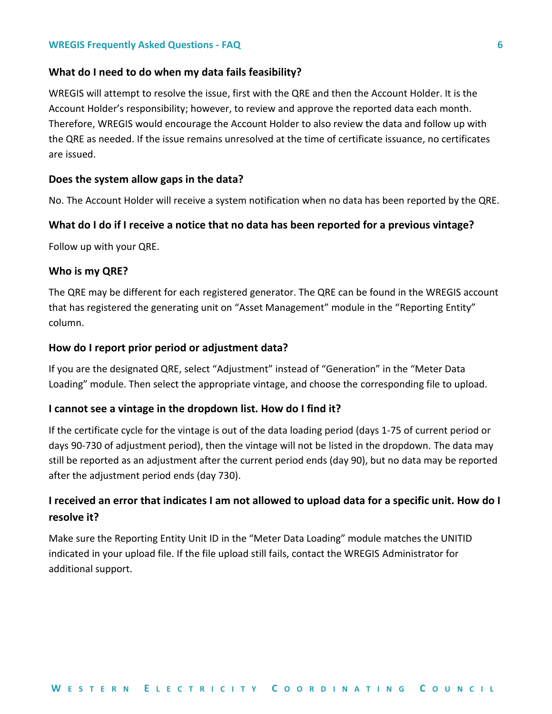#### <span id="page-7-0"></span>**What do I need to do when my data fails feasibility?**

WREGIS will attempt to resolve the issue, first with the QRE and then the Account Holder. It is the Account Holder's responsibility; however, to review and approve the reported data each month. Therefore, WREGIS would encourage the Account Holder to also review the data and follow up with the QRE as needed. If the issue remains unresolved at the time of certificate issuance, no certificates are issued.

### <span id="page-7-1"></span>**Does the system allow gaps in the data?**

No. The Account Holder will receive a system notification when no data has been reported by the QRE.

### <span id="page-7-2"></span>**What do I do if I receive a notice that no data has been reported for a previous vintage?**

Follow up with your QRE.

#### <span id="page-7-3"></span>**Who is my QRE?**

The QRE may be different for each registered generator. The QRE can be found in the WREGIS account that has registered the generating unit on "Asset Management" module in the "Reporting Entity" column.

#### <span id="page-7-4"></span>**How do I report prior period or adjustment data?**

If you are the designated QRE, select "Adjustment" instead of "Generation" in the "Meter Data Loading" module. Then select the appropriate vintage, and choose the corresponding file to upload.

### <span id="page-7-5"></span>**I cannot see a vintage in the dropdown list. How do I find it?**

If the certificate cycle for the vintage is out of the data loading period (days 1-75 of current period or days 90-730 of adjustment period), then the vintage will not be listed in the dropdown. The data may still be reported as an adjustment after the current period ends (day 90), but no data may be reported after the adjustment period ends (day 730).

# <span id="page-7-6"></span>**I received an error that indicates I am not allowed to upload data for a specific unit. How do I resolve it?**

Make sure the Reporting Entity Unit ID in the "Meter Data Loading" module matches the UNITID indicated in your upload file. If the file upload still fails, contact the WREGIS Administrator for additional support.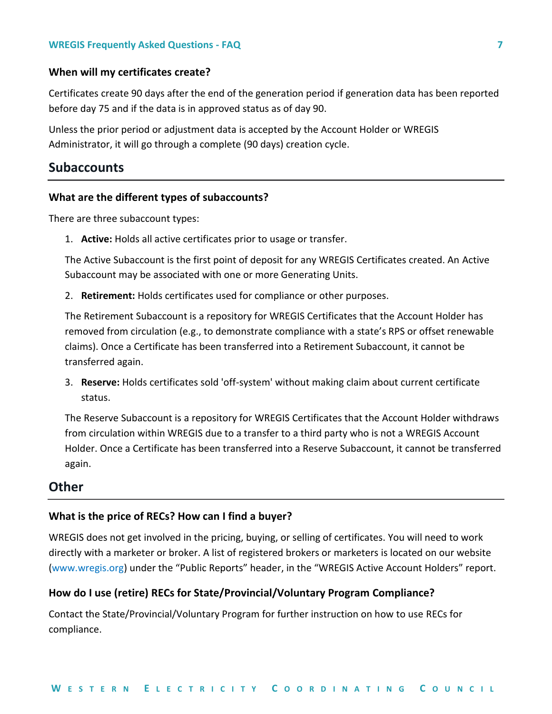### <span id="page-8-0"></span>**When will my certificates create?**

Certificates create 90 days after the end of the generation period if generation data has been reported before day 75 and if the data is in approved status as of day 90.

Unless the prior period or adjustment data is accepted by the Account Holder or WREGIS Administrator, it will go through a complete (90 days) creation cycle.

# <span id="page-8-1"></span>**Subaccounts**

### <span id="page-8-2"></span>**What are the different types of subaccounts?**

There are three subaccount types:

1. **Active:** Holds all active certificates prior to usage or transfer.

The Active Subaccount is the first point of deposit for any WREGIS Certificates created. An Active Subaccount may be associated with one or more Generating Units.

2. **Retirement:** Holds certificates used for compliance or other purposes.

The Retirement Subaccount is a repository for WREGIS Certificates that the Account Holder has removed from circulation (e.g., to demonstrate compliance with a state's RPS or offset renewable claims). Once a Certificate has been transferred into a Retirement Subaccount, it cannot be transferred again.

3. **Reserve:** Holds certificates sold 'off-system' without making claim about current certificate status.

The Reserve Subaccount is a repository for WREGIS Certificates that the Account Holder withdraws from circulation within WREGIS due to a transfer to a third party who is not a WREGIS Account Holder. Once a Certificate has been transferred into a Reserve Subaccount, it cannot be transferred again.

# <span id="page-8-3"></span>**Other**

### <span id="page-8-4"></span>**What is the price of RECs? How can I find a buyer?**

WREGIS does not get involved in the pricing, buying, or selling of certificates. You will need to work directly with a marketer or broker. A list of registered brokers or marketers is located on our website [\(www.wregis.org\)](http://www.wregis.org/) under the "Public Reports" header, in the "WREGIS Active Account Holders" report.

### <span id="page-8-5"></span>**How do I use (retire) RECs for State/Provincial/Voluntary Program Compliance?**

Contact the State/Provincial/Voluntary Program for further instruction on how to use RECs for compliance.